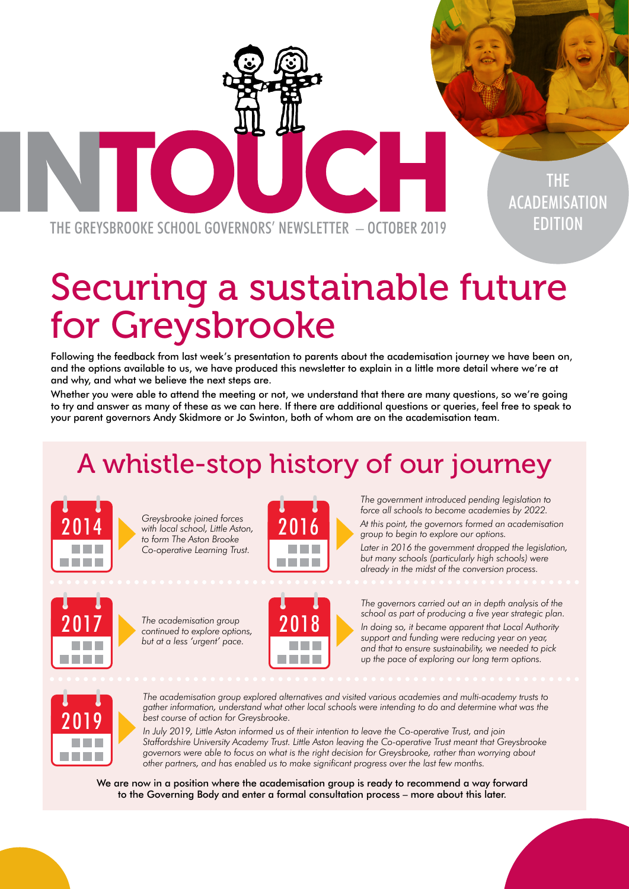THE GREYSBROOKE SCHOOL GOVERNORS' NEWSLETTER – OCTOBER 2019

# Securing a sustainable future for Greysbrooke

Following the feedback from last week's presentation to parents about the academisation journey we have been on, and the options available to us, we have produced this newsletter to explain in a little more detail where we're at and why, and what we believe the next steps are.

Whether you were able to attend the meeting or not, we understand that there are many questions, so we're going to try and answer as many of these as we can here. If there are additional questions or queries, feel free to speak to your parent governors Andy Skidmore or Jo Swinton, both of whom are on the academisation team.

## A whistle-stop history of our journey



*Greysbrooke joined forces*  2014 **2016** With local school, Little Aston, 2016 *to form The Aston Brooke Co-operative Learning Trust.*



*The government introduced pending legislation to force all schools to become academies by 2022.* 

THE

ACADEMISATION

EDITION

*At this point, the governors formed an academisation group to begin to explore our options.*

*Later in 2016 the government dropped the legislation, but many schools (particularly high schools) were already in the midst of the conversion process.*



*The academisation group*  2017 The academisation group<br> **2018** continued to explore options, *but at a less 'urgent' pace.*



*The governors carried out an in depth analysis of the school as part of producing a five year strategic plan. In doing so, it became apparent that Local Authority support and funding were reducing year on year, and that to ensure sustainability, we needed to pick up the pace of exploring our long term options.*



*The academisation group explored alternatives and visited various academies and multi-academy trusts to gather information, understand what other local schools were intending to do and determine what was the best course of action for Greysbrooke.*

*In July 2019, Little Aston informed us of their intention to leave the Co-operative Trust, and join Staffordshire University Academy Trust. Little Aston leaving the Co-operative Trust meant that Greysbrooke governors were able to focus on what is the right decision for Greysbrooke, rather than worrying about other partners, and has enabled us to make significant progress over the last few months.*

We are now in a position where the academisation group is ready to recommend a way forward to the Governing Body and enter a formal consultation process – more about this later.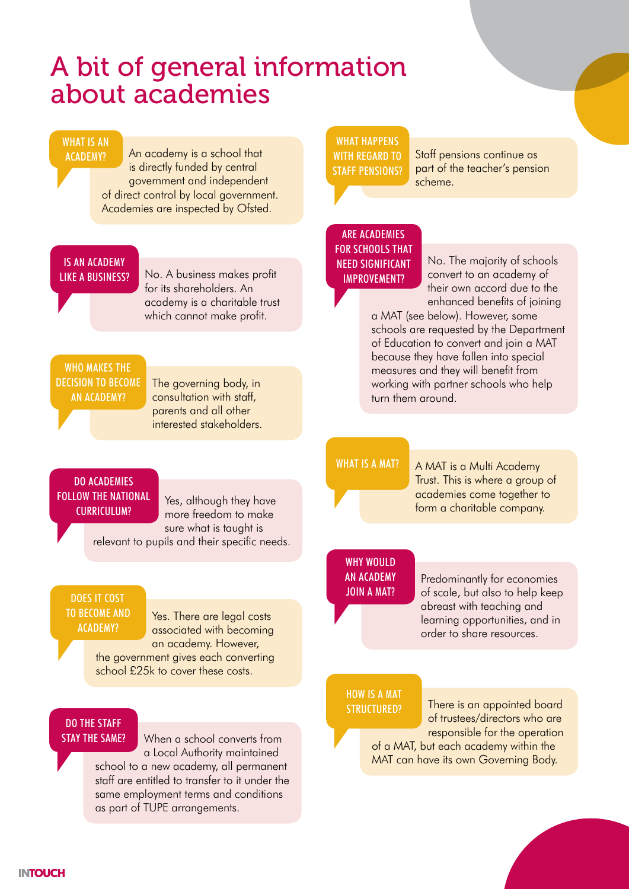## A bit of general information about academies

#### WHAT IS AN ACADEMY?

An academy is a school that is directly funded by central government and independent of direct control by local government. Academies are inspected by Ofsted.

#### IS AN ACADEMY LIKE A BUSINESS?

No. A business makes profit for its shareholders. An academy is a charitable trust which cannot make profit.

### WHO MAKES THE DECISION TO BECOME AN ACADEMY?

The governing body, in consultation with staff, parents and all other interested stakeholders.

#### DO ACADEMIES FOLLOW THE NATIONAL CURRICULUM?

Yes, although they have more freedom to make sure what is taught is

relevant to pupils and their specific needs.

#### DOES IT COST TO BECOME AND ACADEMY?

Yes. There are legal costs associated with becoming an academy. However, the government gives each converting school £25k to cover these costs.

### DO THE STAFF STAY THE SAME?

When a school converts from a Local Authority maintained school to a new academy, all permanent staff are entitled to transfer to it under the same employment terms and conditions as part of TUPE arrangements.

#### WHAT HAPPENS WITH REGARD TO STAFF PENSIONS?

Staff pensions continue as part of the teacher's pension scheme.

## ARE ACADEMIES FOR SCHOOLS THAT NEED SIGNIFICANT IMPROVEMENT?

No. The majority of schools convert to an academy of their own accord due to the enhanced benefits of joining

a MAT (see below). However, some schools are requested by the Department of Education to convert and join a MAT because they have fallen into special measures and they will benefit from working with partner schools who help turn them around.

## WHAT IS A MAT?

A MAT is a Multi Academy Trust. This is where a group of academies come together to form a charitable company.

#### WHY WOULD AN ACADEMY JOIN A MAT?

Predominantly for economies of scale, but also to help keep abreast with teaching and learning opportunities, and in order to share resources.

### HOW IS A MAT STRUCTURED?

There is an appointed board of trustees/directors who are responsible for the operation of a MAT, but each academy within the MAT can have its own Governing Body.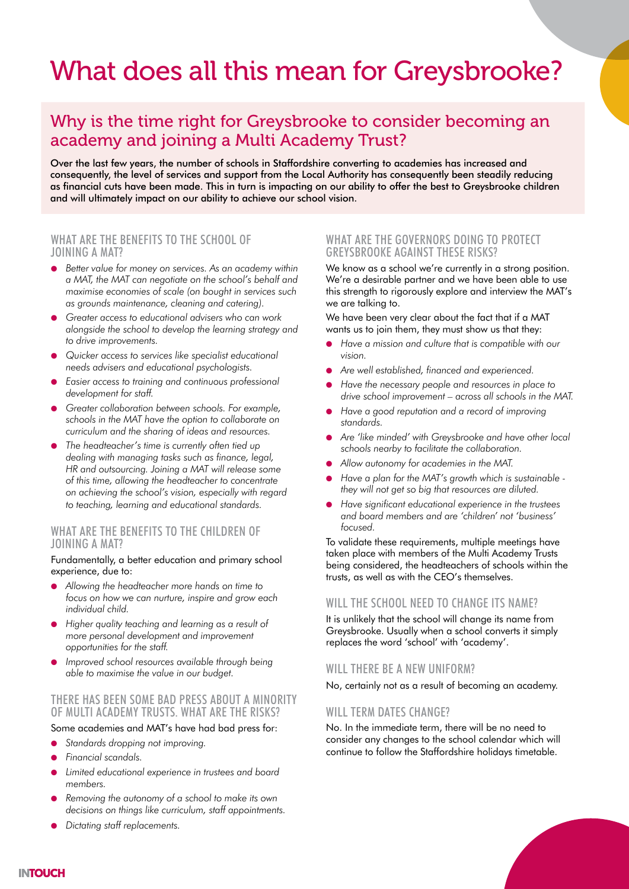## What does all this mean for Greysbrooke?

## Why is the time right for Greysbrooke to consider becoming an academy and joining a Multi Academy Trust?

Over the last few years, the number of schools in Staffordshire converting to academies has increased and consequently, the level of services and support from the Local Authority has consequently been steadily reducing as financial cuts have been made. This in turn is impacting on our ability to offer the best to Greysbrooke children and will ultimately impact on our ability to achieve our school vision.

#### WHAT ARE THE BENEFITS TO THE SCHOOL OF JOINING A MAT?

- *Better value for money on services. As an academy within a MAT, the MAT can negotiate on the school's behalf and maximise economies of scale (on bought in services such as grounds maintenance, cleaning and catering).*
- Greater access to educational advisers who can work *alongside the school to develop the learning strategy and to drive improvements.*
- *Quicker access to services like specialist educational needs advisers and educational psychologists.*
- *Easier access to training and continuous professional development for staff.*
- *Greater collaboration between schools. For example, schools in the MAT have the option to collaborate on curriculum and the sharing of ideas and resources.*
- *The headteacher's time is currently often tied up dealing with managing tasks such as finance, legal, HR and outsourcing. Joining a MAT will release some of this time, allowing the headteacher to concentrate on achieving the school's vision, especially with regard to teaching, learning and educational standards.*

#### WHAT ARE THE BENEFITS TO THE CHILDREN OF JOINING A MAT?

#### Fundamentally, a better education and primary school experience, due to:

- *Allowing the headteacher more hands on time to focus on how we can nurture, inspire and grow each individual child.*
- *Higher quality teaching and learning as a result of more personal development and improvement opportunities for the staff.*
- Improved school resources available through being *able to maximise the value in our budget.*

#### THERE HAS BEEN SOME BAD PRESS ABOUT A MINORITY OF MULTI ACADEMY TRUSTS. WHAT ARE THE RISKS?

#### Some academies and MAT's have had bad press for:

- Standards dropping not improving.
- *Financial scandals.*
- Limited educational experience in trustees and board *members.*
- *Removing the autonomy of a school to make its own decisions on things like curriculum, staff appointments.*
- *Dictating staff replacements.*

#### WHAT ARE THE GOVERNORS DOING TO PROTECT GREYSBROOKE AGAINST THESE RISKS?

We know as a school we're currently in a strong position. We're a desirable partner and we have been able to use this strength to rigorously explore and interview the MAT's we are talking to.

We have been very clear about the fact that if a MAT wants us to join them, they must show us that they:

- *Have a mission and culture that is compatible with our vision.*
- *Are well established, financed and experienced.*
- *Have the necessary people and resources in place to drive school improvement – across all schools in the MAT.*
- *Have a good reputation and a record of improving standards.*
- *Are 'like minded' with Greysbrooke and have other local schools nearby to facilitate the collaboration.*
- *Allow autonomy for academies in the MAT.*
- *Have a plan for the MAT's growth which is sustainable they will not get so big that resources are diluted.*
- *Have significant educational experience in the trustees and board members and are 'children' not 'business' focused.*

To validate these requirements, multiple meetings have taken place with members of the Multi Academy Trusts being considered, the headteachers of schools within the trusts, as well as with the CEO's themselves.

#### WILL THE SCHOOL NEED TO CHANGE ITS NAME?

It is unlikely that the school will change its name from Greysbrooke. Usually when a school converts it simply replaces the word 'school' with 'academy'.

#### WILL THERE BE A NEW UNIFORM?

No, certainly not as a result of becoming an academy.

### WILL TERM DATES CHANGE?

No. In the immediate term, there will be no need to consider any changes to the school calendar which will continue to follow the Staffordshire holidays timetable.